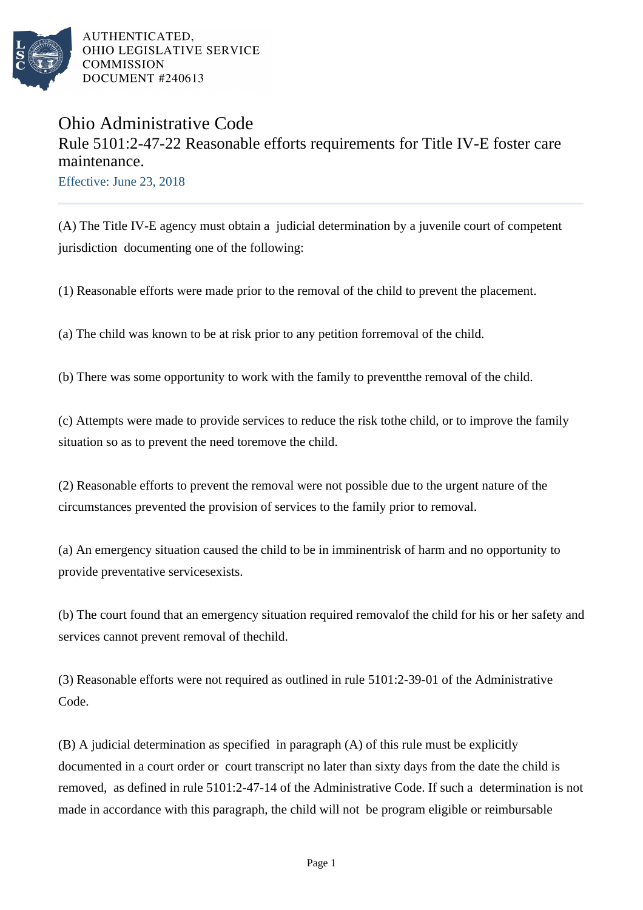

AUTHENTICATED. OHIO LEGISLATIVE SERVICE **COMMISSION** DOCUMENT #240613

## Ohio Administrative Code Rule 5101:2-47-22 Reasonable efforts requirements for Title IV-E foster care maintenance.

Effective: June 23, 2018

(A) The Title IV-E agency must obtain a judicial determination by a juvenile court of competent jurisdiction documenting one of the following:

(1) Reasonable efforts were made prior to the removal of the child to prevent the placement.

(a) The child was known to be at risk prior to any petition for removal of the child.

(b) There was some opportunity to work with the family to prevent the removal of the child.

(c) Attempts were made to provide services to reduce the risk to the child, or to improve the family situation so as to prevent the need to remove the child.

(2) Reasonable efforts to prevent the removal were not possible due to the urgent nature of the circumstances prevented the provision of services to the family prior to removal.

(a) An emergency situation caused the child to be in imminent risk of harm and no opportunity to provide preventative services exists.

(b) The court found that an emergency situation required removal of the child for his or her safety and services cannot prevent removal of the child.

 $(3)$  Reasonable efforts were not required as outlined in rule 5101:2-39-01 of the Administrative Code.

(B) A judicial determination as specified in paragraph (A) of this rule must be explicitly documented in a court order or court transcript no later than sixty days from the date the child is removed, as defined in rule 5101:2-47-14 of the Administrative Code. If such a determination is not made in accordance with this paragraph, the child will not be program eligible or reimbursable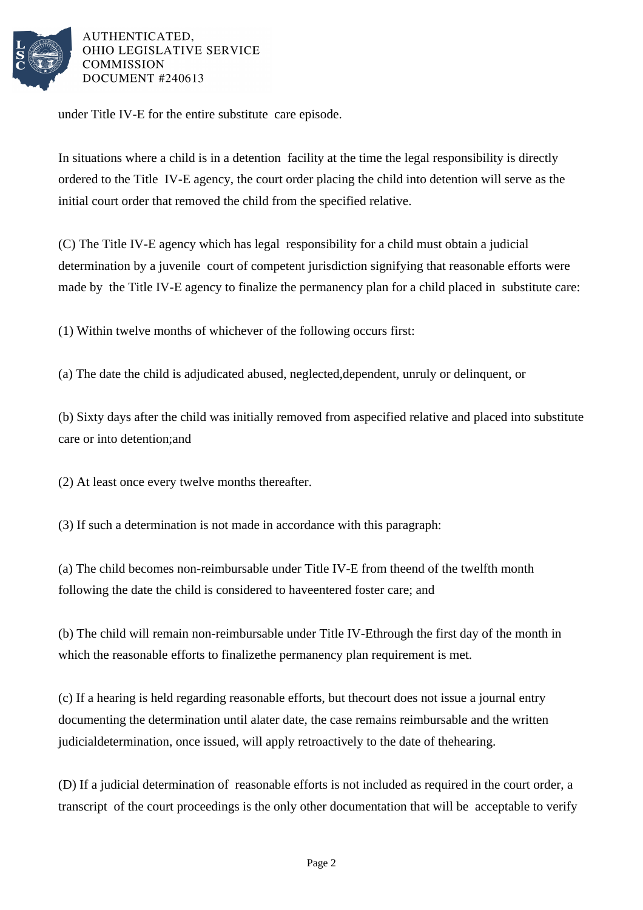

AUTHENTICATED. OHIO LEGISLATIVE SERVICE **COMMISSION** DOCUMENT #240613

under Title IV-E for the entire substitute care episode.

In situations where a child is in a detention facility at the time the legal responsibility is directly ordered to the Title IV-E agency, the court order placing the child into detention will serve as the initial court order that removed the child from the specified relative.

(C) The Title IV-E agency which has legal responsibility for a child must obtain a judicial determination by a juvenile court of competent jurisdiction signifying that reasonable efforts were made by the Title IV-E agency to finalize the permanency plan for a child placed in substitute care:

(1) Within twelve months of whichever of the following occurs first:

(a) The date the child is adjudicated abused, neglected, dependent, unruly or delinquent, or

(b) Sixty days after the child was initially removed from a specified relative and placed into substitute care or into detention; and

(2) At least once every twelve months thereafter.

(3) If such a determination is not made in accordance with this paragraph:

(a) The child becomes non-reimbursable under Title IV-E from the end of the twelfth month following the date the child is considered to have entered foster care; and

(b) The child will remain non-reimbursable under Title IV-E through the first day of the month in which the reasonable efforts to finalize the permanency plan requirement is met.

(c) If a hearing is held regarding reasonable efforts, but the court does not issue a journal entry documenting the determination until a later date, the case remains reimbursable and the written judicial determination, once issued, will apply retroactively to the date of the hearing.

(D) If a judicial determination of reasonable efforts is not included as required in the court order, a transcript of the court proceedings is the only other documentation that will be acceptable to verify